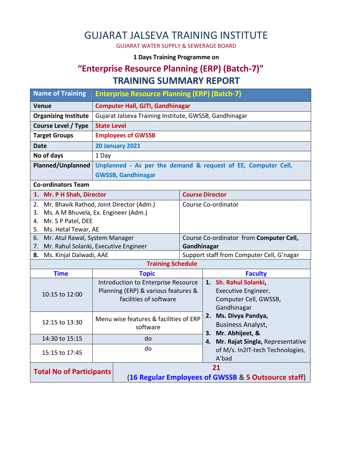# GUJARAT JALSEVA TRAINING INSTITUTE

GUJARAT WATER SUPPLY & SEWERAGE BOARD

#### **1 Days Training Programme on**

## **"Enterprise Resource Planning (ERP) (Batch-7)" TRAINING SUMMARY REPORT**

| <b>Name of Training</b>                          | <b>Enterprise Resource Planning (ERP) (Batch-7)</b>    |                                                               |                                           |                                           |                                  |  |
|--------------------------------------------------|--------------------------------------------------------|---------------------------------------------------------------|-------------------------------------------|-------------------------------------------|----------------------------------|--|
| <b>Venue</b>                                     | <b>Computer Hall, GJTI, Gandhinagar</b>                |                                                               |                                           |                                           |                                  |  |
| <b>Organizing Institute</b>                      | Gujarat Jalseva Training Institute, GWSSB, Gandhinagar |                                                               |                                           |                                           |                                  |  |
| <b>Course Level / Type</b><br><b>State Level</b> |                                                        |                                                               |                                           |                                           |                                  |  |
| <b>Target Groups</b>                             | <b>Employees of GWSSB</b>                              |                                                               |                                           |                                           |                                  |  |
| <b>20 January 2021</b><br><b>Date</b>            |                                                        |                                                               |                                           |                                           |                                  |  |
| No of days<br>1 Day                              |                                                        |                                                               |                                           |                                           |                                  |  |
| <b>Planned/Unplanned</b>                         |                                                        | Unplanned - As per the demand & request of EE, Computer Cell, |                                           |                                           |                                  |  |
|                                                  | <b>GWSSB, Gandhinagar</b>                              |                                                               |                                           |                                           |                                  |  |
| <b>Co-ordinators Team</b>                        |                                                        |                                                               |                                           |                                           |                                  |  |
| 1. Mr. P H Shah, Director                        |                                                        |                                                               | <b>Course Director</b>                    |                                           |                                  |  |
| Mr. Bhavik Rathod, Joint Director (Adm.)<br>2.   |                                                        | Course Co-ordinator                                           |                                           |                                           |                                  |  |
| Ms. A M Bhuvela, Ex. Engineer (Adm.)<br>3.       |                                                        |                                                               |                                           |                                           |                                  |  |
| Mr. S P Patel, DEE<br>4.                         |                                                        |                                                               |                                           |                                           |                                  |  |
| Ms. Hetal Tewar, AE<br>5.                        |                                                        |                                                               |                                           |                                           |                                  |  |
| 6. Mr. Atul Rawal, System Manager                |                                                        |                                                               |                                           | Course Co-ordinator from Computer Cell,   |                                  |  |
| Mr. Rahul Solanki, Executive Engineer<br>7.      |                                                        |                                                               | Gandhinagar                               |                                           |                                  |  |
| 8. Ms. Kinjal Dalwadi, AAE                       |                                                        |                                                               | Support staff from Computer Cell, G'nagar |                                           |                                  |  |
|                                                  |                                                        | <b>Training Schedule</b>                                      |                                           |                                           |                                  |  |
| <b>Time</b>                                      | <b>Topic</b>                                           |                                                               |                                           |                                           | <b>Faculty</b>                   |  |
|                                                  | Introduction to Enterprise Resource                    |                                                               |                                           |                                           | 1. Sh. Rahul Solanki,            |  |
| 10:15 to 12:00                                   | Planning (ERP) & various features &                    |                                                               |                                           | Executive Engineer,                       |                                  |  |
|                                                  | facilities of software                                 |                                                               |                                           |                                           | Computer Cell, GWSSB,            |  |
|                                                  |                                                        |                                                               |                                           | Gandhinagar                               |                                  |  |
| 12:15 to 13:30                                   | Menu wise features & facilities of ERP                 |                                                               | 2.                                        | Ms. Divya Pandya,                         |                                  |  |
|                                                  | software                                               |                                                               |                                           | <b>Business Analyst,</b>                  |                                  |  |
| 14:30 to 15:15                                   | do                                                     |                                                               |                                           | 3.                                        | Mr. Abhijeet, &                  |  |
|                                                  |                                                        | do                                                            |                                           | 4.                                        | Mr. Rajat Singla, Representative |  |
| 15:15 to 17:45                                   |                                                        |                                                               |                                           | of M/s. In2IT-tech Technologies,<br>A'bad |                                  |  |
|                                                  |                                                        |                                                               |                                           |                                           |                                  |  |
| <b>Total No of Participants</b>                  |                                                        | 21                                                            |                                           |                                           |                                  |  |
|                                                  | (16 Regular Employees of GWSSB & 5 Outsource staff)    |                                                               |                                           |                                           |                                  |  |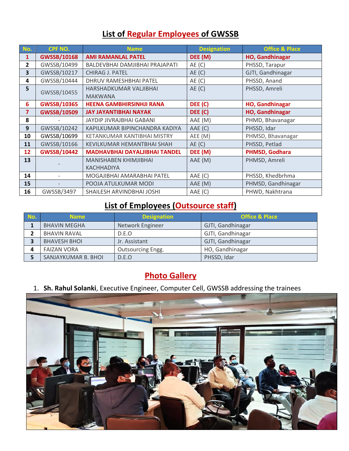### **List of Regular Employees of GWSSB**

| No.          | CPF NO.            | <b>Name</b>                          | <b>Designation</b> | <b>Office &amp; Place</b> |
|--------------|--------------------|--------------------------------------|--------------------|---------------------------|
| 1            | <b>GWSSB/10168</b> | <b>AMI RAMANLAL PATEL</b>            | DEE (M)            | HO, Gandhinagar           |
| $\mathbf{2}$ | GWSSB/10499        | BALDEVBHAI DAMJIBHAI PRAJAPATI       | AE(C)              | PHSSD, Tarapur            |
| 3            | GWSSB/10217        | <b>CHIRAG J. PATEL</b>               | AE(C)              | GJTI, Gandhinagar         |
| 4            | GWSSB/10444        | DHRUV RAMESHBHAI PATEL               | AE(C)              | PHSSD, Anand              |
| 5            | GWSSB/10455        | HARSHADKUMAR VALJIBHAI               | AE(C)              | PHSSD, Amreli             |
|              |                    | <b>MAKWANA</b>                       |                    |                           |
| 6.           | <b>GWSSB/10365</b> | <b>HEENA GAMBHIRSINHJI RANA</b>      | DEE (C)            | <b>HO, Gandhinagar</b>    |
| 7            | <b>GWSSB/10509</b> | <b>JAY JAYANTIBHAI NAYAK</b>         | DEE (C)            | <b>HO, Gandhinagar</b>    |
| 8            |                    | JAYDIP JIVRAJBHAI GABANI             | AAE (M)            | PHMD, Bhavanagar          |
| 9            | GWSSB/10242        | KAPILKUMAR BIPINCHANDRA KADIYA       | AAE (C)            | PHSSD, Idar               |
| 10           | GWSSB/10699        | KETANKUMAR KANTIBHAI MISTRY          | AEE (M)            | PHMSD, Bhavanagar         |
| 11           | GWSSB/10166        | KEVILKUMAR HEMANTBHAI SHAH           | AE(C)              | PHSSD, Petlad             |
| 12           | <b>GWSSB/10442</b> | <b>MADHAVBHAI DAYALJIBHAI TANDEL</b> | DEE (M)            | PHMSD, Godhara            |
| 13           |                    | MANISHABEN KHIMJIBHAI                | AAE (M)            | PHMSD, Amreli             |
|              |                    | <b>KACHHADIYA</b>                    |                    |                           |
| 14           |                    | MOGAJIBHAI AMARABHAI PATEL           | AAE (C)            | PHSSD, Khedbrhma          |
| 15           |                    | POOJA ATULKUMAR MODI                 | AAE (M)            | PHMSD, Gandhinagar        |
| 16           | GWSSB/3497         | SHAILESH ARVINDBHAI JOSHI            | AAE (C)            | PHWD, Nakhtrana           |

### **List of Employees (Outsource staff)**

| No. | <b>Name</b>         | <b>Designation</b>       | <b>Office &amp; Place</b> |
|-----|---------------------|--------------------------|---------------------------|
|     | <b>BHAVIN MEGHA</b> | Network Engineer         | GJTI, Gandhinagar         |
|     | <b>BHAVIN RAVAL</b> | D.E.O                    | GJTI, Gandhinagar         |
|     | <b>BHAVESH BHOI</b> | Jr. Assistant            | GJTI, Gandhinagar         |
|     | <b>FAIZAN VORA</b>  | <b>Outsourcing Engg.</b> | HO, Gandhinagar           |
|     | SANJAYKUMAR B. BHOI | D.E.O                    | PHSSD, Idar               |

#### **Photo Gallery**

1. **Sh. Rahul Solanki**, Executive Engineer, Computer Cell, GWSSB addressing the trainees